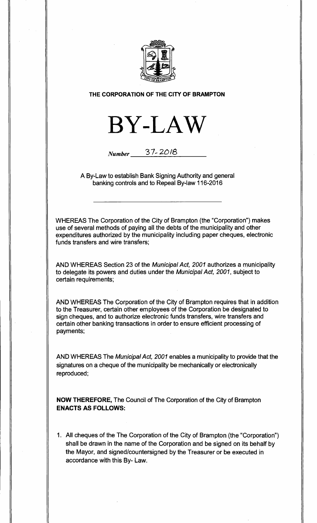

#### **THE CORPORATION OF THE CITY OF BRAMPTON**



# **Number** 37- 20/8

A By-Law to establish Bank Signing Authority and general banking controls and to Repeal By-law 116-2016

WHEREAS The Corporation of the City of Brampton (the "Corporation") makes use of several methods of paying all the debts of the municipality and other expenditures authorized by the municipality including paper cheques, electronic funds transfers and wire transfers;

AND WHEREAS Section 23 of the Municipal Act, 2001 authorizes a municipality to delegate its powers and duties under the Municipal Act, 2001, subject to certain requirements;

AND WHEREAS The Corporation of the City of Brampton requires that in addition to the Treasurer, certain other employees of the Corporation be designated to sign cheques, and to authorize electronic funds transfers, wire transfers and certain other banking transactions in order to ensure efficient processing of payments;

AND WHEREAS The Municipal Act, 2001 enables a municipality to provide that the signatures on a cheque of the municipality be mechanically or electronically reproduced;

**NOW THEREFORE,** The Council of The Corporation of the City of Brampton **ENACTS AS FOLLOWS:** 

1. All cheques of the The Corporation of the City of Brampton (the "Corporation") shall be drawn in the name of the Corporation and be signed on its behalf by the Mayor, and signed/countersigned by the Treasurer or be executed in accordance with this By- Law.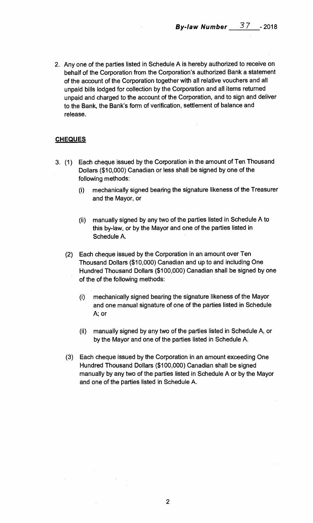**2. Any one of the parties listed in Schedule A is hereby authorized to receive on behalf of the Corporation from the Corporation's authorized Bank a statement of the account of the Corporation together with all relative vouchers and all unpaid bills lodged for collection by the Corporation and all items returned unpaid and charged to the account of the Corporation, and to sign and deliver to the Bank, the Bank's form of verification, settlement of balance and release.** 

## **CHEQUES**

- **3. (1) Each cheque issued by the Corporation in the amount of Ten Thousand Dollars (\$10,000) Canadian or less shall be signed by one of the following methods:** 
	- **(i) mechanically signed bearing the signature likeness of the Treasurer and the Mayor, or**
	- **(ii) manually signed by any two of the parties listed in Schedule A to this by-law, or by the Mayor and one of the parties listed in Schedule A.**
	- **(2) Each cheque issued by the Corporation in an amount over Ten Thousand Dollars (\$10,000) Canadian and up to and including One Hundred Thousand Dollars (\$100,000) Canadian shall be signed by one of the of the following methods:** 
		- **(i) mechanically signed bearing the signature likeness of the Mayor and one manual signature of one of the parties listed in Schedule A; or**
		- **(ii) manually signed by any two of the parties listed in Schedule A, or by the Mayor and one of the parties listed in Schedule A.**
	- **(3) Each cheque issued by the Corporation in an amount exceeding One Hundred Thousand Dollars (\$100,000) Canadian shall be signed manually by any two of the parties listed in Schedule A or by the Mayor and one of the parties listed in Schedule A.**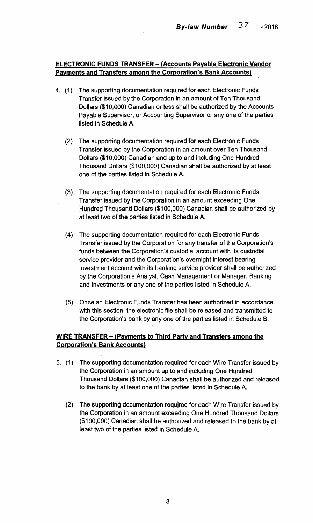# **ELECTRONIC FUNDS TRANSFER — (Accounts Payable Electronic Vendor Payments and Transfers among the Corporation's Bank Accounts)**

- 4. (1) The supporting documentation required for each Electronic Funds Transfer issued by the Corporation in an amount of Ten Thousand Dollars (\$10,000) Canadian or less shall be authorized by the Accounts Payable Supervisor, or Accounting Supervisor or any one of the parties listed in Schedule A.
	- (2) The supporting documentation required for each Electronic Funds Transfer issued by the Corporation in an amount over Ten Thousand Dollars (\$10,000) Canadian and up to and including One Hundred Thousand Dollars (\$100,000) Canadian shall be authorized by at least one of the parties listed in Schedule A.
	- (3) The supporting documentation required for each Electronic Funds Transfer issued by the Corporation in an amount exceeding One Hundred Thousand Dollars (\$100,000) Canadian shall be authorized by at least two of the parties listed in Schedule A.
	- (4) The supporting documentation required for each Electronic Funds Transfer issued by the Corporation for any transfer of the Corporation's funds between the Corporation's custodial account with its custodial service provider and the Corporation's overnight interest bearing investment account with its banking service provider shall be authorized by the Corporation's Analyst, Cash Management or Manager, Banking and Investments or any one of the parties listed in Schedule A.
	- (5) Once an Electronic Funds Transfer has been authorized in accordance with this section, the electronic file shall be released and transmitted to the Corporation's bank by any one of the parties listed in Schedule B.

# **WIRE TRANSFER — (Payments to Third Party and Transfers among the Corporation's Bank Accounts)**

- 5. (1) The supporting documentation required for each Wire Transfer issued by the Corporation in an amount up to and including One Hundred Thousand Dollars (\$100,000) Canadian shall be authorized and released to the bank by at least one of the parties listed in Schedule A.
	- (2) The supporting documentation required for each Wire Transfer issued by the Corporation in an amount exceeding One Hundred Thousand Dollars (\$100,000) Canadian shall be authorized and released to the bank by at least two of the parties listed in Schedule A.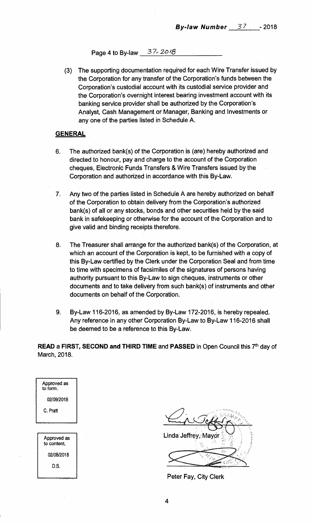Page 4 to By-law 37-2018

(3) The supporting documentation required for each Wire Transfer issued by the Corporation for any transfer of the Corporation's funds between the Corporation's custodial account with its custodial service provider and the Corporation's overnight interest bearing investment account with its banking service provider shall be authorized by the Corporation's Analyst, Cash Management or Manager, Banking and Investments or any one of the parties listed in Schedule A.

#### **GENERAL**

- 6. The authorized bank(s) of the Corporation is (are) hereby authorized and directed to honour, pay and charge to the account of the Corporation cheques, Electronic Funds Transfers & Wire Transfers issued by the Corporation and authorized in accordance with this By-Law.
- 7. Any two of the parties listed in Schedule A are hereby authorized on behalf of the Corporation to obtain delivery from the Corporation's authorized bank(s) of all or any stocks, bonds and other securities held by the said bank in safekeeping or otherwise for the account of the Corporation and to give valid and binding receipts therefore.
- 8. The Treasurer shall arrange for the authorized bank(s) of the Corporation, at which an account of the Corporation is kept, to be furnished with a copy of this By-Law certified by the Clerk under the Corporation Seal and from time to time with specimens of facsimiles of the signatures of persons having authority pursuant to this By-Law to sign cheques, instruments or other documents and to take delivery from such bank(s) of instruments and other documents on behalf of the Corporation.
- 9. By-Law 116-2016, as amended by By-Law 172-2016, is hereby repealed. Any reference in any other Corporation By-Law to By-Law 116-2016 shall be deemed to be a reference to this By-Law.

**READ a FIRST, SECOND and THIRD TIME and PASSED in Open Council this 7<sup>th</sup> day of** March, 2018.

| to form.                   |  |
|----------------------------|--|
| 02/09/2018                 |  |
| C. Pratt                   |  |
|                            |  |
|                            |  |
| Approved as<br>to content. |  |
| 02/08/2018                 |  |
| D.S.                       |  |
|                            |  |

Approved as

Is, Linda Jeffrey, Mayor <del>।।।</del>।

Peter Fay, City Clerk

4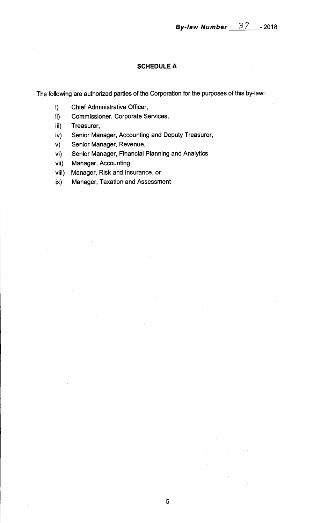### **SCHEDULE A**

**The following are authorized parties of the Corporation for the purposes of this by-law:** 

- **i) Chief Administrative Officer,**
- **ii) Commissioner, Corporate Services,**
- **iii) Treasurer,**
- **iv) Senior Manager, Accounting and Deputy Treasurer,**
- **v) Senior Manager, Revenue,**
- **vi) Senior Manager, Financial Planning and Analytics**
- **vii) Manager, Accounting,**
- **viii) Manager, Risk and Insurance, or**
- **ix) Manager, Taxation and Assessment**